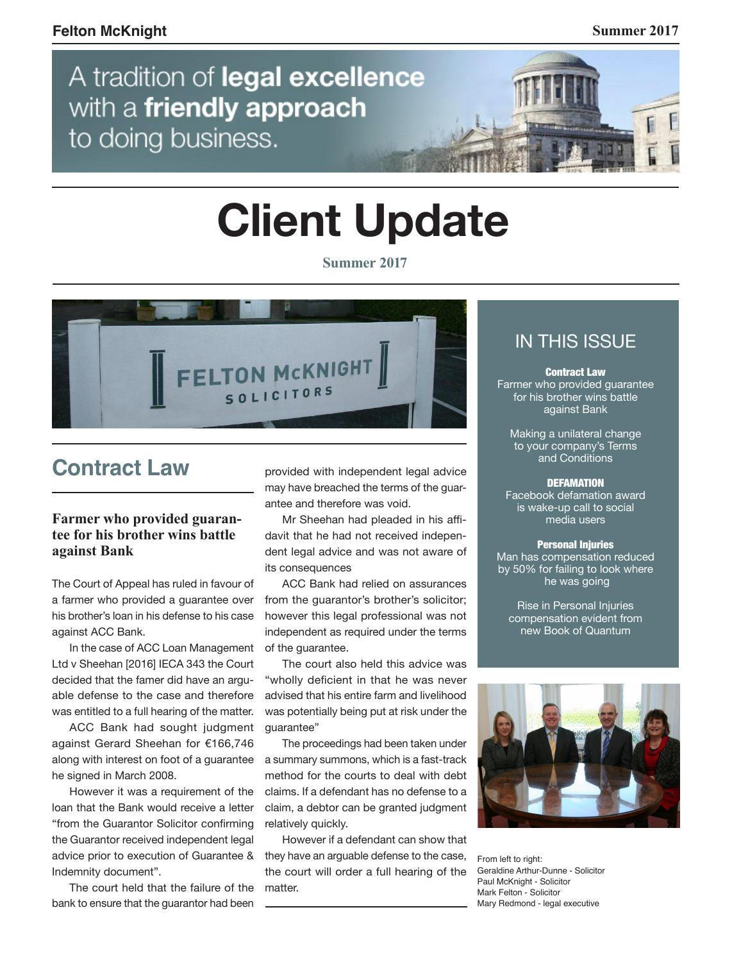

# **Client Update**

**Summer 2017** 



# **Contract Law**

## **Farmer who provided guarantee for his brother wins battle against Bank**

The Court of Appeal has ruled in favour of a farmer who provided a guarantee over his brother's loan in his defense to his case against ACC Bank.

In the case of ACC Loan Management Ltd v Sheehan [2016] IECA 343 the Court decided that the famer did have an arguable defense to the case and therefore was entitled to a full hearing of the matter.

ACC Bank had sought judgment against Gerard Sheehan for €166,746 along with interest on foot of a guarantee he signed in March 2008.

However it was a requirement of the loan that the Bank would receive a letter "from the Guarantor Solicitor confirming the Guarantor received independent legal advice prior to execution of Guarantee & Indemnity document".

The court held that the failure of the bank to ensure that the guarantor had been

provided with independent legal advice may have breached the terms of the guarantee and therefore was void.

Mr Sheehan had pleaded in his affidavit that he had not received independent legal advice and was not aware of its consequences

ACC Bank had relied on assurances from the quarantor's brother's solicitor: however this legal professional was not independent as required under the terms of the guarantee.

The court also held this advice was "wholly deficient in that he was never advised that his entire farm and livelihood was potentially being put at risk under the guarantee"

The proceedings had been taken under a summary summons, which is a fast-track method for the courts to deal with debt claims. If a defendant has no defense to a claim, a debtor can be granted judgment relatively quickly.

However if a defendant can show that they have an arguable defense to the case, the court will order a full hearing of the matter

## IN THIS ISSUE

Contract Law Farmer who provided guarantee for his brother wins battle against Bank

Making a unilateral change to your company's Terms and Conditions

#### **DEFAMATION**

Facebook defamation award is wake-up call to social media users

#### Personal Injuries

Man has compensation reduced by 50% for failing to look where he was going

Rise in Personal Injuries compensation evident from new Book of Quantum



From left to right: Geraldine Arthur-Dunne - Solicitor Paul McKnight - Solicitor Mark Felton - Solicitor Mary Redmond - legal executive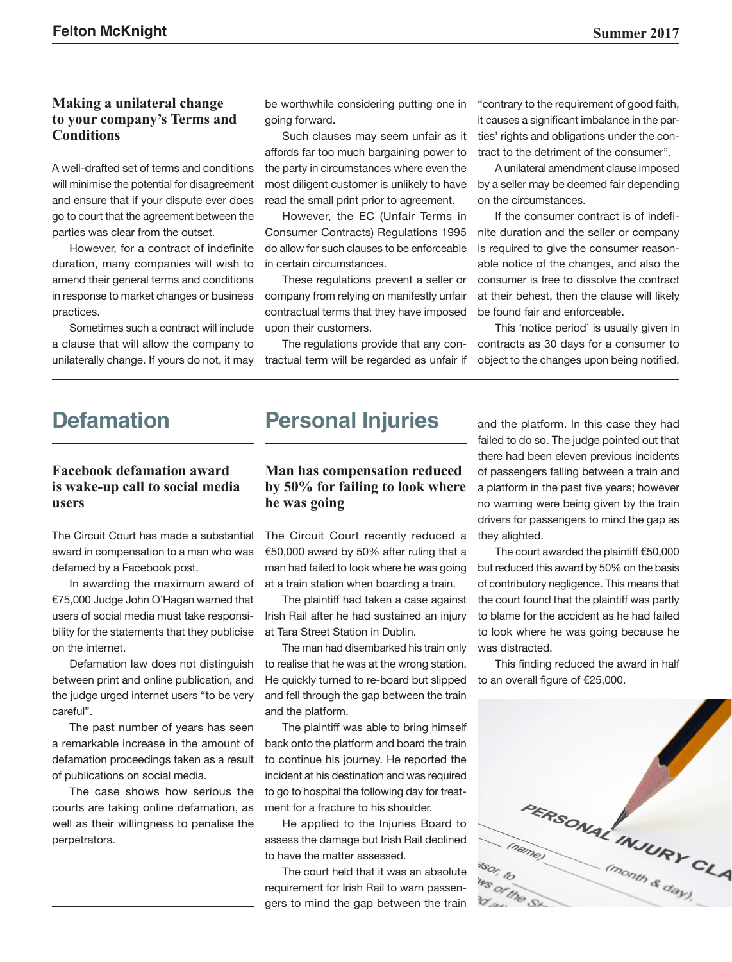#### **Making a unilateral change to your company's Terms and Conditions**

A well-drafted set of terms and conditions will minimise the potential for disagreement and ensure that if your dispute ever does go to court that the agreement between the parties was clear from the outset.

However, for a contract of indefinite duration, many companies will wish to amend their general terms and conditions in response to market changes or business practices.

Sometimes such a contract will include a clause that will allow the company to unilaterally change. If yours do not, it may be worthwhile considering putting one in going forward.

Such clauses may seem unfair as it affords far too much bargaining power to the party in circumstances where even the most diligent customer is unlikely to have read the small print prior to agreement.

However, the EC (Unfair Terms in Consumer Contracts) Regulations 1995 do allow for such clauses to be enforceable in certain circumstances.

These regulations prevent a seller or company from relying on manifestly unfair contractual terms that they have imposed upon their customers.

The regulations provide that any contractual term will be regarded as unfair if "contrary to the requirement of good faith, it causes a significant imbalance in the parties' rights and obligations under the contract to the detriment of the consumer".

A unilateral amendment clause imposed by a seller may be deemed fair depending on the circumstances.

If the consumer contract is of indefinite duration and the seller or company is required to give the consumer reasonable notice of the changes, and also the consumer is free to dissolve the contract at their behest, then the clause will likely be found fair and enforceable.

This 'notice period' is usually given in contracts as 30 days for a consumer to object to the changes upon being notified.

## **Defamation**

## **Facebook defamation award is wake-up call to social media users**

The Circuit Court has made a substantial award in compensation to a man who was defamed by a Facebook post.

In awarding the maximum award of €75,000 Judge John O'Hagan warned that users of social media must take responsibility for the statements that they publicise on the internet.

Defamation law does not distinguish between print and online publication, and the judge urged internet users "to be very careful".

The past number of years has seen a remarkable increase in the amount of defamation proceedings taken as a result of publications on social media.

The case shows how serious the courts are taking online defamation, as well as their willingness to penalise the perpetrators.

# **Personal Injuries**

## **Man has compensation reduced by 50% for failing to look where he was going**

The Circuit Court recently reduced a €50,000 award by 50% after ruling that a man had failed to look where he was going at a train station when boarding a train.

The plaintiff had taken a case against Irish Rail after he had sustained an injury at Tara Street Station in Dublin.

The man had disembarked his train only to realise that he was at the wrong station. He quickly turned to re-board but slipped and fell through the gap between the train and the platform.

The plaintiff was able to bring himself back onto the platform and board the train to continue his journey. He reported the incident at his destination and was required to go to hospital the following day for treatment for a fracture to his shoulder.

He applied to the Injuries Board to assess the damage but Irish Rail declined to have the matter assessed.

The court held that it was an absolute requirement for Irish Rail to warn passengers to mind the gap between the train

and the platform. In this case they had failed to do so. The judge pointed out that there had been eleven previous incidents of passengers falling between a train and a platform in the past five years; however no warning were being given by the train drivers for passengers to mind the gap as they alighted.

The court awarded the plaintiff €50,000 but reduced this award by 50% on the basis of contributory negligence. This means that the court found that the plaintiff was partly to blame for the accident as he had failed to look where he was going because he was distracted.

This finding reduced the award in half to an overall figure of €25,000.